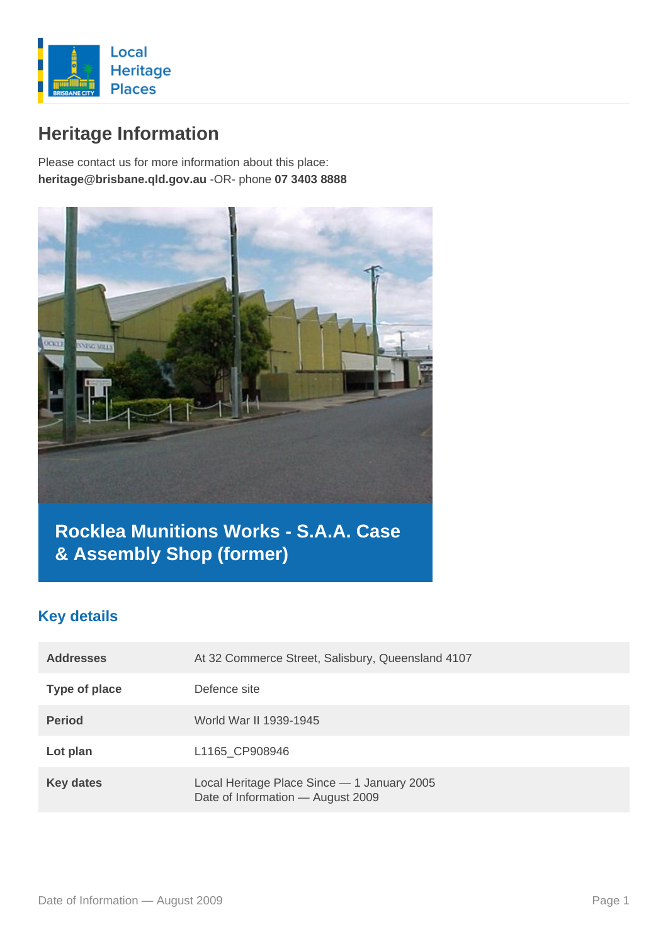

# **Heritage Information**

Please contact us for more information about this place: **heritage@brisbane.qld.gov.au** -OR- phone **07 3403 8888**



# **Rocklea Munitions Works - S.A.A. Case & Assembly Shop (former)**

### **Key details**

| <b>Addresses</b> | At 32 Commerce Street, Salisbury, Queensland 4107                                |
|------------------|----------------------------------------------------------------------------------|
| Type of place    | Defence site                                                                     |
| <b>Period</b>    | World War II 1939-1945                                                           |
| Lot plan         | L1165 CP908946                                                                   |
| <b>Key dates</b> | Local Heritage Place Since - 1 January 2005<br>Date of Information - August 2009 |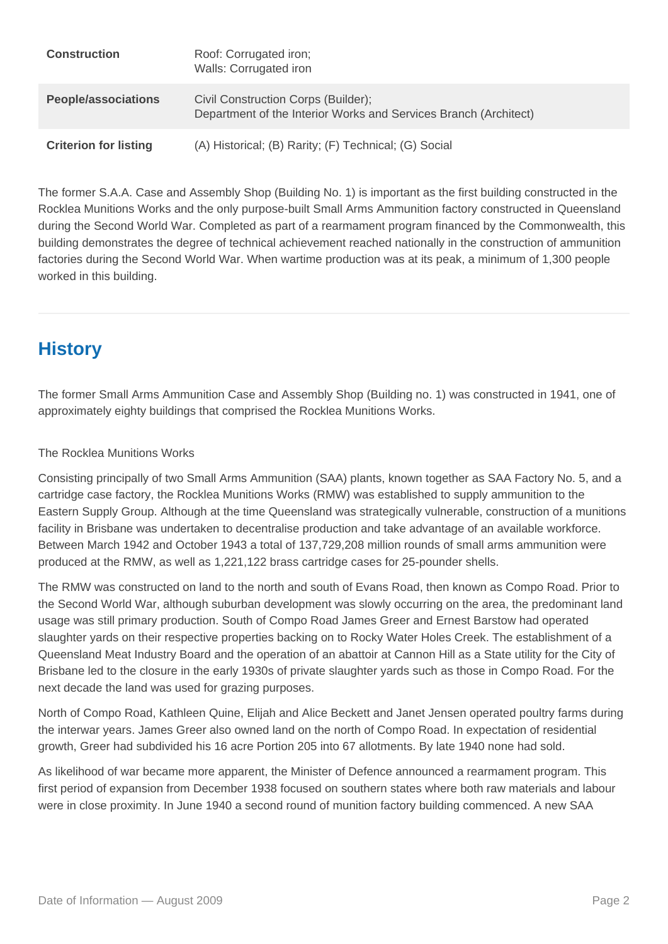| <b>Construction</b>          | Roof: Corrugated iron;<br>Walls: Corrugated iron                                                        |
|------------------------------|---------------------------------------------------------------------------------------------------------|
| <b>People/associations</b>   | Civil Construction Corps (Builder);<br>Department of the Interior Works and Services Branch (Architect) |
| <b>Criterion for listing</b> | (A) Historical; (B) Rarity; (F) Technical; (G) Social                                                   |

The former S.A.A. Case and Assembly Shop (Building No. 1) is important as the first building constructed in the Rocklea Munitions Works and the only purpose-built Small Arms Ammunition factory constructed in Queensland during the Second World War. Completed as part of a rearmament program financed by the Commonwealth, this building demonstrates the degree of technical achievement reached nationally in the construction of ammunition factories during the Second World War. When wartime production was at its peak, a minimum of 1,300 people worked in this building.

# **History**

The former Small Arms Ammunition Case and Assembly Shop (Building no. 1) was constructed in 1941, one of approximately eighty buildings that comprised the Rocklea Munitions Works.

### The Rocklea Munitions Works

Consisting principally of two Small Arms Ammunition (SAA) plants, known together as SAA Factory No. 5, and a cartridge case factory, the Rocklea Munitions Works (RMW) was established to supply ammunition to the Eastern Supply Group. Although at the time Queensland was strategically vulnerable, construction of a munitions facility in Brisbane was undertaken to decentralise production and take advantage of an available workforce. Between March 1942 and October 1943 a total of 137,729,208 million rounds of small arms ammunition were produced at the RMW, as well as 1,221,122 brass cartridge cases for 25-pounder shells.

The RMW was constructed on land to the north and south of Evans Road, then known as Compo Road. Prior to the Second World War, although suburban development was slowly occurring on the area, the predominant land usage was still primary production. South of Compo Road James Greer and Ernest Barstow had operated slaughter yards on their respective properties backing on to Rocky Water Holes Creek. The establishment of a Queensland Meat Industry Board and the operation of an abattoir at Cannon Hill as a State utility for the City of Brisbane led to the closure in the early 1930s of private slaughter yards such as those in Compo Road. For the next decade the land was used for grazing purposes.

North of Compo Road, Kathleen Quine, Elijah and Alice Beckett and Janet Jensen operated poultry farms during the interwar years. James Greer also owned land on the north of Compo Road. In expectation of residential growth, Greer had subdivided his 16 acre Portion 205 into 67 allotments. By late 1940 none had sold.

As likelihood of war became more apparent, the Minister of Defence announced a rearmament program. This first period of expansion from December 1938 focused on southern states where both raw materials and labour were in close proximity. In June 1940 a second round of munition factory building commenced. A new SAA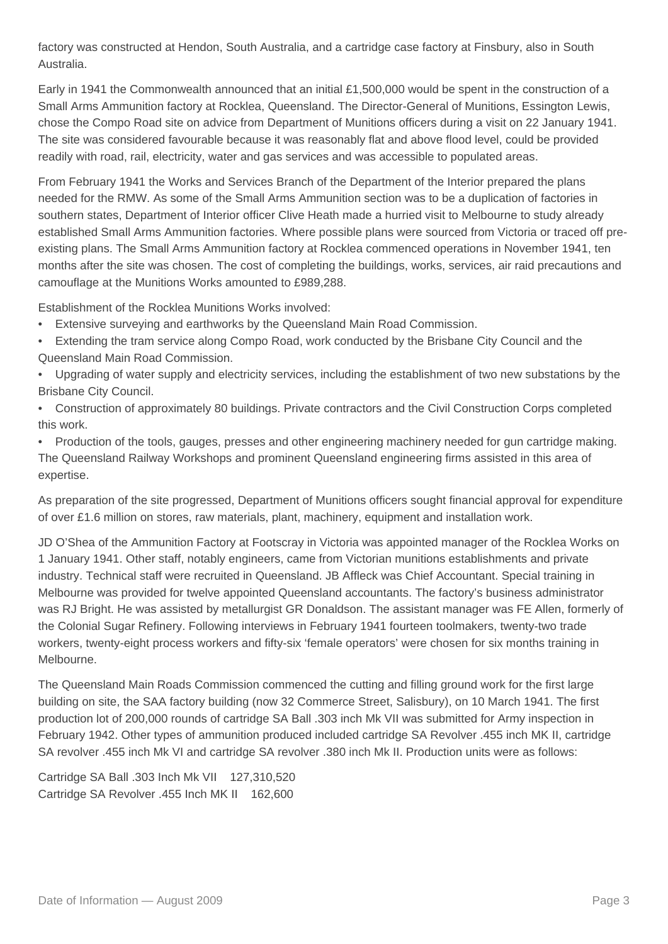factory was constructed at Hendon, South Australia, and a cartridge case factory at Finsbury, also in South Australia.

Early in 1941 the Commonwealth announced that an initial £1,500,000 would be spent in the construction of a Small Arms Ammunition factory at Rocklea, Queensland. The Director-General of Munitions, Essington Lewis, chose the Compo Road site on advice from Department of Munitions officers during a visit on 22 January 1941. The site was considered favourable because it was reasonably flat and above flood level, could be provided readily with road, rail, electricity, water and gas services and was accessible to populated areas.

From February 1941 the Works and Services Branch of the Department of the Interior prepared the plans needed for the RMW. As some of the Small Arms Ammunition section was to be a duplication of factories in southern states, Department of Interior officer Clive Heath made a hurried visit to Melbourne to study already established Small Arms Ammunition factories. Where possible plans were sourced from Victoria or traced off preexisting plans. The Small Arms Ammunition factory at Rocklea commenced operations in November 1941, ten months after the site was chosen. The cost of completing the buildings, works, services, air raid precautions and camouflage at the Munitions Works amounted to £989,288.

Establishment of the Rocklea Munitions Works involved:

- Extensive surveying and earthworks by the Queensland Main Road Commission.
- Extending the tram service along Compo Road, work conducted by the Brisbane City Council and the Queensland Main Road Commission.
- Upgrading of water supply and electricity services, including the establishment of two new substations by the Brisbane City Council.
- Construction of approximately 80 buildings. Private contractors and the Civil Construction Corps completed this work.
- Production of the tools, gauges, presses and other engineering machinery needed for gun cartridge making. The Queensland Railway Workshops and prominent Queensland engineering firms assisted in this area of expertise.

As preparation of the site progressed, Department of Munitions officers sought financial approval for expenditure of over £1.6 million on stores, raw materials, plant, machinery, equipment and installation work.

JD O'Shea of the Ammunition Factory at Footscray in Victoria was appointed manager of the Rocklea Works on 1 January 1941. Other staff, notably engineers, came from Victorian munitions establishments and private industry. Technical staff were recruited in Queensland. JB Affleck was Chief Accountant. Special training in Melbourne was provided for twelve appointed Queensland accountants. The factory's business administrator was RJ Bright. He was assisted by metallurgist GR Donaldson. The assistant manager was FE Allen, formerly of the Colonial Sugar Refinery. Following interviews in February 1941 fourteen toolmakers, twenty-two trade workers, twenty-eight process workers and fifty-six 'female operators' were chosen for six months training in Melbourne.

The Queensland Main Roads Commission commenced the cutting and filling ground work for the first large building on site, the SAA factory building (now 32 Commerce Street, Salisbury), on 10 March 1941. The first production lot of 200,000 rounds of cartridge SA Ball .303 inch Mk VII was submitted for Army inspection in February 1942. Other types of ammunition produced included cartridge SA Revolver .455 inch MK II, cartridge SA revolver .455 inch Mk VI and cartridge SA revolver .380 inch Mk II. Production units were as follows:

Cartridge SA Ball .303 Inch Mk VII 127,310,520 Cartridge SA Revolver .455 Inch MK II 162,600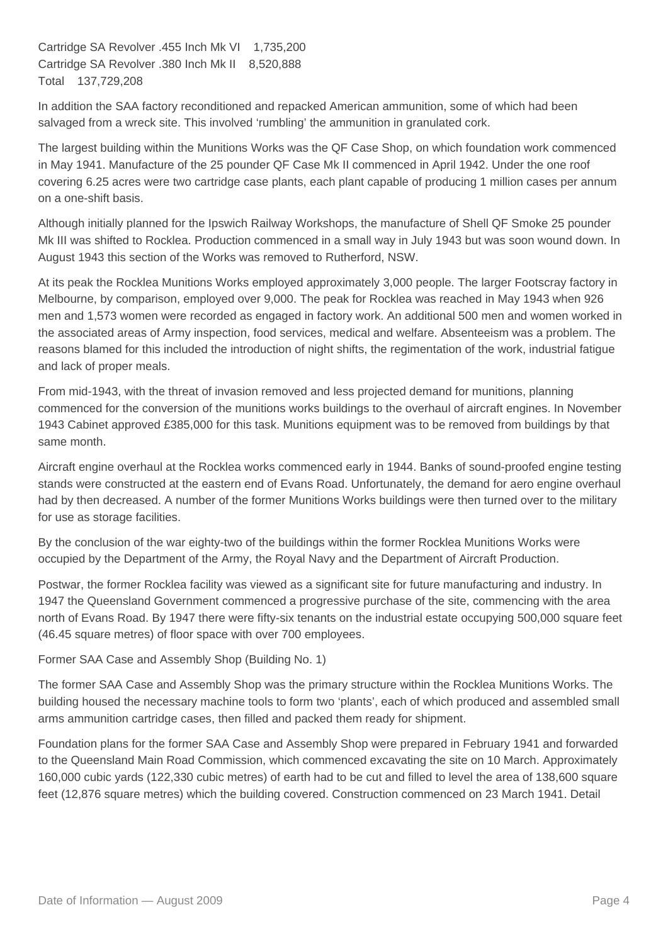Cartridge SA Revolver .455 Inch Mk VI 1,735,200 Cartridge SA Revolver .380 Inch Mk II 8,520,888 Total 137,729,208

In addition the SAA factory reconditioned and repacked American ammunition, some of which had been salvaged from a wreck site. This involved 'rumbling' the ammunition in granulated cork.

The largest building within the Munitions Works was the QF Case Shop, on which foundation work commenced in May 1941. Manufacture of the 25 pounder QF Case Mk II commenced in April 1942. Under the one roof covering 6.25 acres were two cartridge case plants, each plant capable of producing 1 million cases per annum on a one-shift basis.

Although initially planned for the Ipswich Railway Workshops, the manufacture of Shell QF Smoke 25 pounder Mk III was shifted to Rocklea. Production commenced in a small way in July 1943 but was soon wound down. In August 1943 this section of the Works was removed to Rutherford, NSW.

At its peak the Rocklea Munitions Works employed approximately 3,000 people. The larger Footscray factory in Melbourne, by comparison, employed over 9,000. The peak for Rocklea was reached in May 1943 when 926 men and 1,573 women were recorded as engaged in factory work. An additional 500 men and women worked in the associated areas of Army inspection, food services, medical and welfare. Absenteeism was a problem. The reasons blamed for this included the introduction of night shifts, the regimentation of the work, industrial fatigue and lack of proper meals.

From mid-1943, with the threat of invasion removed and less projected demand for munitions, planning commenced for the conversion of the munitions works buildings to the overhaul of aircraft engines. In November 1943 Cabinet approved £385,000 for this task. Munitions equipment was to be removed from buildings by that same month.

Aircraft engine overhaul at the Rocklea works commenced early in 1944. Banks of sound-proofed engine testing stands were constructed at the eastern end of Evans Road. Unfortunately, the demand for aero engine overhaul had by then decreased. A number of the former Munitions Works buildings were then turned over to the military for use as storage facilities.

By the conclusion of the war eighty-two of the buildings within the former Rocklea Munitions Works were occupied by the Department of the Army, the Royal Navy and the Department of Aircraft Production.

Postwar, the former Rocklea facility was viewed as a significant site for future manufacturing and industry. In 1947 the Queensland Government commenced a progressive purchase of the site, commencing with the area north of Evans Road. By 1947 there were fifty-six tenants on the industrial estate occupying 500,000 square feet (46.45 square metres) of floor space with over 700 employees.

Former SAA Case and Assembly Shop (Building No. 1)

The former SAA Case and Assembly Shop was the primary structure within the Rocklea Munitions Works. The building housed the necessary machine tools to form two 'plants', each of which produced and assembled small arms ammunition cartridge cases, then filled and packed them ready for shipment.

Foundation plans for the former SAA Case and Assembly Shop were prepared in February 1941 and forwarded to the Queensland Main Road Commission, which commenced excavating the site on 10 March. Approximately 160,000 cubic yards (122,330 cubic metres) of earth had to be cut and filled to level the area of 138,600 square feet (12,876 square metres) which the building covered. Construction commenced on 23 March 1941. Detail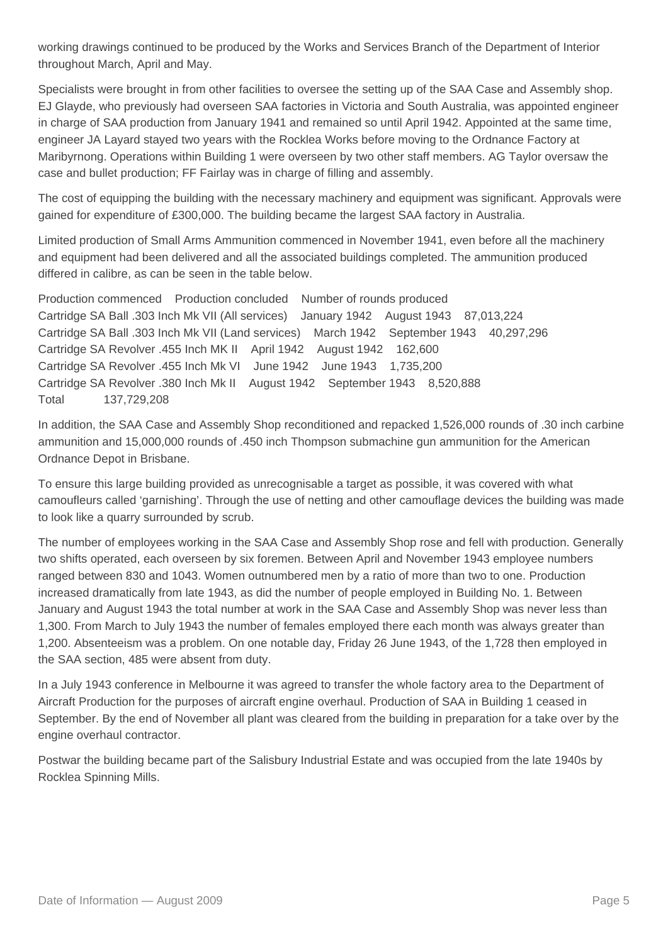working drawings continued to be produced by the Works and Services Branch of the Department of Interior throughout March, April and May.

Specialists were brought in from other facilities to oversee the setting up of the SAA Case and Assembly shop. EJ Glayde, who previously had overseen SAA factories in Victoria and South Australia, was appointed engineer in charge of SAA production from January 1941 and remained so until April 1942. Appointed at the same time, engineer JA Layard stayed two years with the Rocklea Works before moving to the Ordnance Factory at Maribyrnong. Operations within Building 1 were overseen by two other staff members. AG Taylor oversaw the case and bullet production; FF Fairlay was in charge of filling and assembly.

The cost of equipping the building with the necessary machinery and equipment was significant. Approvals were gained for expenditure of £300,000. The building became the largest SAA factory in Australia.

Limited production of Small Arms Ammunition commenced in November 1941, even before all the machinery and equipment had been delivered and all the associated buildings completed. The ammunition produced differed in calibre, as can be seen in the table below.

Production commenced Production concluded Number of rounds produced Cartridge SA Ball .303 Inch Mk VII (All services) January 1942 August 1943 87,013,224 Cartridge SA Ball .303 Inch Mk VII (Land services) March 1942 September 1943 40,297,296 Cartridge SA Revolver .455 Inch MK II April 1942 August 1942 162,600 Cartridge SA Revolver .455 Inch Mk VI June 1942 June 1943 1,735,200 Cartridge SA Revolver .380 Inch Mk II August 1942 September 1943 8,520,888 Total 137,729,208

In addition, the SAA Case and Assembly Shop reconditioned and repacked 1,526,000 rounds of .30 inch carbine ammunition and 15,000,000 rounds of .450 inch Thompson submachine gun ammunition for the American Ordnance Depot in Brisbane.

To ensure this large building provided as unrecognisable a target as possible, it was covered with what camoufleurs called 'garnishing'. Through the use of netting and other camouflage devices the building was made to look like a quarry surrounded by scrub.

The number of employees working in the SAA Case and Assembly Shop rose and fell with production. Generally two shifts operated, each overseen by six foremen. Between April and November 1943 employee numbers ranged between 830 and 1043. Women outnumbered men by a ratio of more than two to one. Production increased dramatically from late 1943, as did the number of people employed in Building No. 1. Between January and August 1943 the total number at work in the SAA Case and Assembly Shop was never less than 1,300. From March to July 1943 the number of females employed there each month was always greater than 1,200. Absenteeism was a problem. On one notable day, Friday 26 June 1943, of the 1,728 then employed in the SAA section, 485 were absent from duty.

In a July 1943 conference in Melbourne it was agreed to transfer the whole factory area to the Department of Aircraft Production for the purposes of aircraft engine overhaul. Production of SAA in Building 1 ceased in September. By the end of November all plant was cleared from the building in preparation for a take over by the engine overhaul contractor.

Postwar the building became part of the Salisbury Industrial Estate and was occupied from the late 1940s by Rocklea Spinning Mills.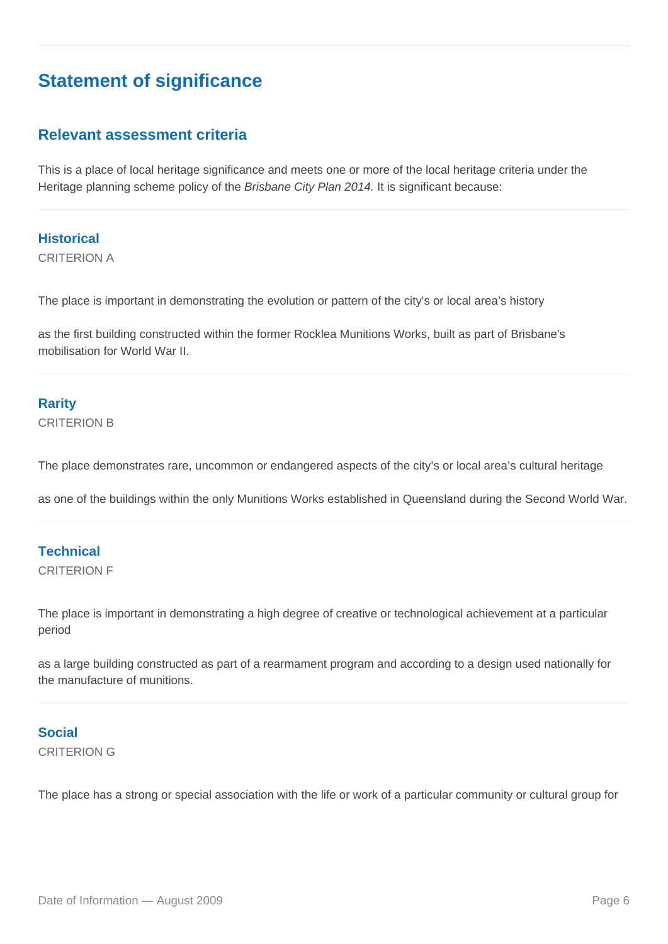## **Statement of significance**

### **Relevant assessment criteria**

This is a place of local heritage significance and meets one or more of the local heritage criteria under the Heritage planning scheme policy of the Brisbane City Plan 2014. It is significant because:

**Historical** CRITERION A

The place is important in demonstrating the evolution or pattern of the city's or local area's history

as the first building constructed within the former Rocklea Munitions Works, built as part of Brisbane's mobilisation for World War II.

### **Rarity**

CRITERION B

The place demonstrates rare, uncommon or endangered aspects of the city's or local area's cultural heritage

as one of the buildings within the only Munitions Works established in Queensland during the Second World War.

#### **Technical**

CRITERION F

The place is important in demonstrating a high degree of creative or technological achievement at a particular period

as a large building constructed as part of a rearmament program and according to a design used nationally for the manufacture of munitions.

### **Social**

CRITERION G

The place has a strong or special association with the life or work of a particular community or cultural group for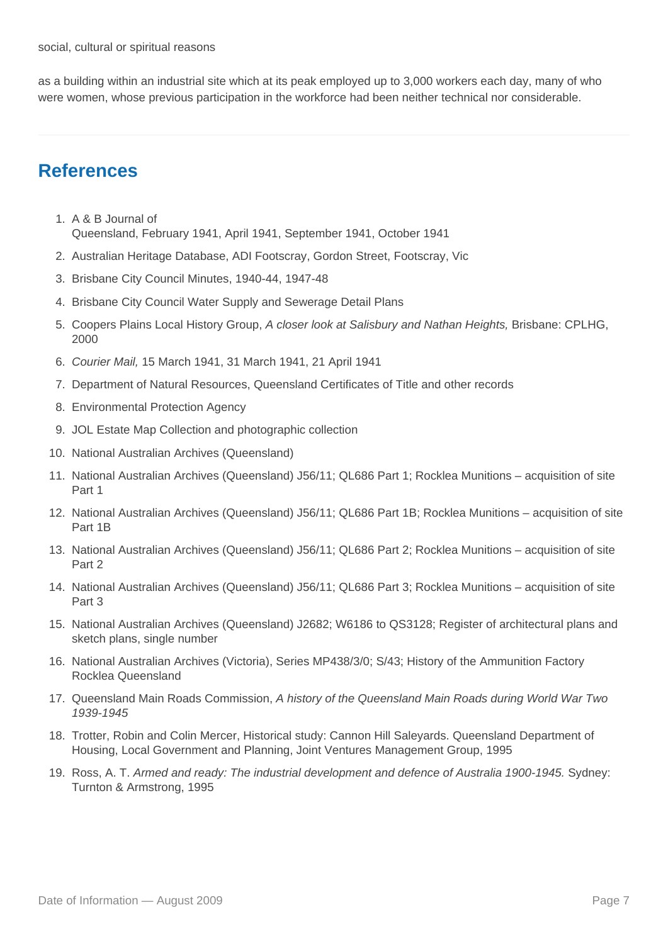as a building within an industrial site which at its peak employed up to 3,000 workers each day, many of who were women, whose previous participation in the workforce had been neither technical nor considerable.

## **References**

- 1. A & B Journal of Queensland, February 1941, April 1941, September 1941, October 1941
- 2. Australian Heritage Database, ADI Footscray, Gordon Street, Footscray, Vic
- 3. Brisbane City Council Minutes, 1940-44, 1947-48
- 4. Brisbane City Council Water Supply and Sewerage Detail Plans
- 5. Coopers Plains Local History Group, A closer look at Salisbury and Nathan Heights, Brisbane: CPLHG, 2000
- 6. Courier Mail, 15 March 1941, 31 March 1941, 21 April 1941
- 7. Department of Natural Resources, Queensland Certificates of Title and other records
- 8. Environmental Protection Agency
- 9. JOL Estate Map Collection and photographic collection
- 10. National Australian Archives (Queensland)
- 11. National Australian Archives (Queensland) J56/11; QL686 Part 1; Rocklea Munitions acquisition of site Part 1
- 12. National Australian Archives (Queensland) J56/11; QL686 Part 1B; Rocklea Munitions acquisition of site Part 1B
- 13. National Australian Archives (Queensland) J56/11; QL686 Part 2; Rocklea Munitions acquisition of site Part 2
- 14. National Australian Archives (Queensland) J56/11; QL686 Part 3; Rocklea Munitions acquisition of site Part 3
- 15. National Australian Archives (Queensland) J2682; W6186 to QS3128; Register of architectural plans and sketch plans, single number
- 16. National Australian Archives (Victoria), Series MP438/3/0; S/43; History of the Ammunition Factory Rocklea Queensland
- 17. Queensland Main Roads Commission, A history of the Queensland Main Roads during World War Two 1939-1945
- 18. Trotter, Robin and Colin Mercer, Historical study: Cannon Hill Saleyards. Queensland Department of Housing, Local Government and Planning, Joint Ventures Management Group, 1995
- 19. Ross, A. T. Armed and ready: The industrial development and defence of Australia 1900-1945. Sydney: Turnton & Armstrong, 1995